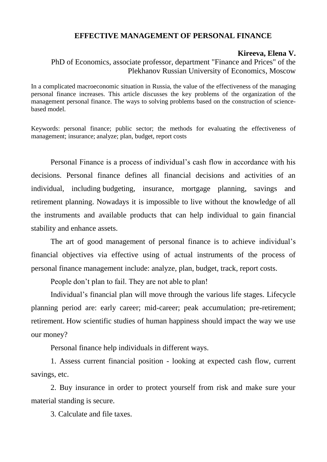## **EFFECTIVE MANAGEMENT OF PERSONAL FINANCE**

## **Kireeva, Elena V.**

PhD of Economics, associate professor, department "Finance and Prices" of the Plekhanov Russian University of Economics, Moscow

In a complicated macroeconomic situation in Russia, the value of the effectiveness of the managing personal finance increases. This article discusses the key problems of the organization of the management personal finance. The ways to solving problems based on the construction of sciencebased model.

Keywords: personal finance; public sector; the methods for evaluating the effectiveness of management; insurance; analyze; plan, budget, report costs

Personal Finance is a process of individual's cash flow in accordance with his decisions. Personal finance defines all financial decisions and activities of an individual, including budgeting, insurance, mortgage planning, savings and retirement planning. Nowadays it is impossible to live without the knowledge of all the instruments and available products that can help individual to gain financial stability and enhance assets.

The art of good management of personal finance is to achieve individual's financial objectives via effective using of actual instruments of the process of personal finance management include: analyze, plan, budget, track, report costs.

People don't plan to fail. They are not able to plan!

Individual's financial plan will move through the various life stages. Lifecycle planning period are: early career; mid-career; peak accumulation; pre-retirement; retirement. How scientific studies of human happiness should impact the way we use our money?

Personal finance help individuals in different ways.

1. Assess current financial position - looking at expected cash flow, current savings, etc.

2. Buy insurance in order to protect yourself from risk and make sure your material standing is secure.

3. Calculate and file taxes.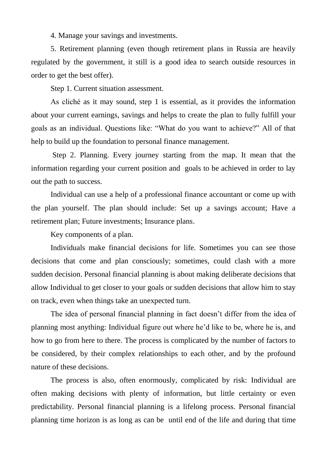4. Manage your savings and investments.

5. Retirement planning (even though retirement plans in Russia are heavily regulated by the government, it still is a good idea to search outside resources in order to get the best offer).

Step 1. Current situation assessment.

As cliché as it may sound, step 1 is essential, as it provides the information about your current earnings, savings and helps to create the plan to fully fulfill your goals as an individual. Questions like: "What do you want to achieve?" All of that help to build up the foundation to personal finance management.

Step 2. Planning. Every journey starting from the map. It mean that the information regarding your current position and goals to be achieved in order to lay out the path to success.

Individual can use a help of a professional finance accountant or come up with the plan yourself. The plan should include: Set up a savings account; Have a retirement plan; Future investments; Insurance plans.

Key components of a plan.

Individuals make financial decisions for life. Sometimes you can see those decisions that come and plan consciously; sometimes, could clash with a more sudden decision. Personal financial planning is about making deliberate decisions that allow Individual to get closer to your goals or sudden decisions that allow him to stay on track, even when things take an unexpected turn.

The idea of personal financial planning in fact doesn't differ from the idea of planning most anything: Individual figure out where he'd like to be, where he is, and how to go from here to there. The process is complicated by the number of factors to be considered, by their complex relationships to each other, and by the profound nature of these decisions.

The process is also, often enormously, complicated by risk: Individual are often making decisions with plenty of information, but little certainty or even predictability. Personal financial planning is a lifelong process. Personal financial planning time horizon is as long as can be until end of the life and during that time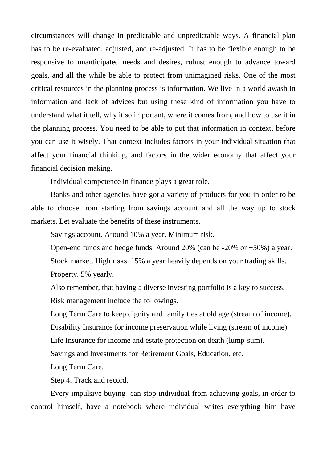circumstances will change in predictable and unpredictable ways. A financial plan has to be re-evaluated, adjusted, and re-adjusted. It has to be flexible enough to be responsive to unanticipated needs and desires, robust enough to advance toward goals, and all the while be able to protect from unimagined risks. One of the most critical resources in the planning process is information. We live in a world awash in information and lack of advices but using these kind of information you have to understand what it tell, why it so important, where it comes from, and how to use it in the planning process. You need to be able to put that information in context, before you can use it wisely. That context includes factors in your individual situation that affect your financial thinking, and factors in the wider economy that affect your financial decision making.

Individual competence in finance plays a great role.

Banks and other agencies have got a variety of products for you in order to be able to choose from starting from savings account and all the way up to stock markets. Let evaluate the benefits of these instruments.

Savings account. Around 10% a year. Minimum risk.

Open-end funds and hedge funds. Around 20% (can be -20% or +50%) a year. Stock market. High risks. 15% a year heavily depends on your trading skills. Property. 5% yearly.

Also remember, that having a diverse investing portfolio is a key to success. Risk management include the followings.

Long Term Care to keep dignity and family ties at old age (stream of income).

Disability Insurance for income preservation while living (stream of income).

Life Insurance for income and estate protection on death (lump-sum).

Savings and Investments for Retirement Goals, Education, etc.

Long Term Care.

Step 4. Track and record.

Every impulsive buying can stop individual from achieving goals, in order to control himself, have a notebook where individual writes everything him have